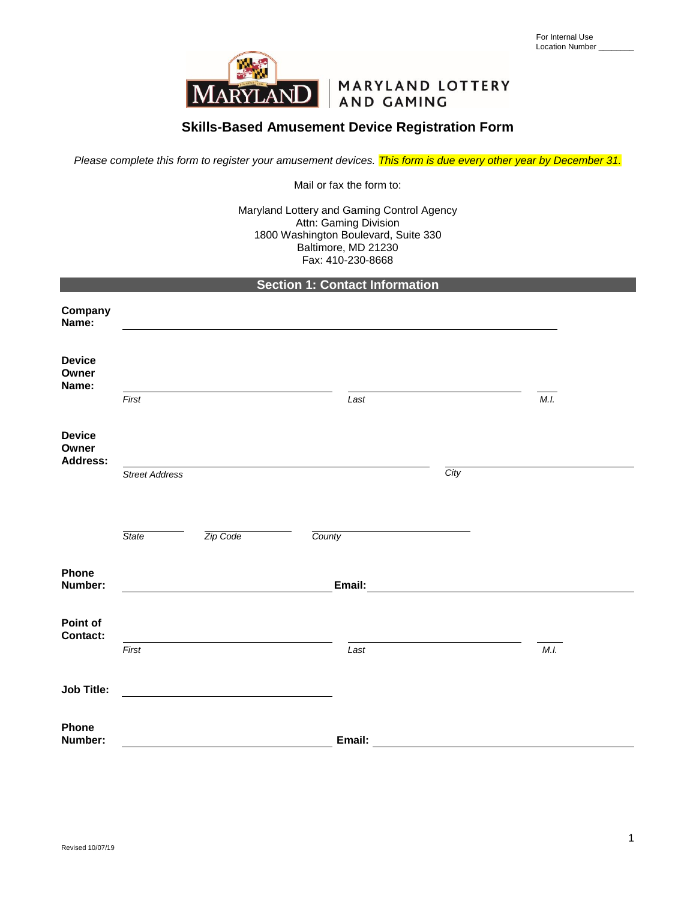

# MARYLAND LOTTERY

## **Skills-Based Amusement Device Registration Form**

*Please complete this form to register your amusement devices. This form is due every other year by December 31.*

Mail or fax the form to:

Maryland Lottery and Gaming Control Agency Attn: Gaming Division 1800 Washington Boulevard, Suite 330 Baltimore, MD 21230 Fax: 410-230-8668

| Section 1: Contact Information |  |
|--------------------------------|--|
|                                |  |

| Company<br>Name:                          |                       |          |        |                                                                                                                                                                                                                                      |      |  |
|-------------------------------------------|-----------------------|----------|--------|--------------------------------------------------------------------------------------------------------------------------------------------------------------------------------------------------------------------------------------|------|--|
| <b>Device</b><br>Owner<br>Name:           |                       |          |        |                                                                                                                                                                                                                                      |      |  |
|                                           | First                 |          | Last   |                                                                                                                                                                                                                                      | M.I. |  |
| <b>Device</b><br>Owner<br><b>Address:</b> |                       |          |        |                                                                                                                                                                                                                                      |      |  |
|                                           | <b>Street Address</b> |          |        | City                                                                                                                                                                                                                                 |      |  |
|                                           |                       |          |        |                                                                                                                                                                                                                                      |      |  |
|                                           | <b>State</b>          | Zip Code | County |                                                                                                                                                                                                                                      |      |  |
| Phone<br>Number:                          |                       |          | Email: | <u>and the community of the community of the community of the community of the community of the community of the community of the community of the community of the community of the community of the community of the community</u> |      |  |
| Point of<br><b>Contact:</b>               |                       |          |        |                                                                                                                                                                                                                                      |      |  |
|                                           | First                 |          | Last   |                                                                                                                                                                                                                                      | M.I. |  |
| <b>Job Title:</b>                         |                       |          |        |                                                                                                                                                                                                                                      |      |  |
| Phone<br>Number:                          |                       |          | Email: |                                                                                                                                                                                                                                      |      |  |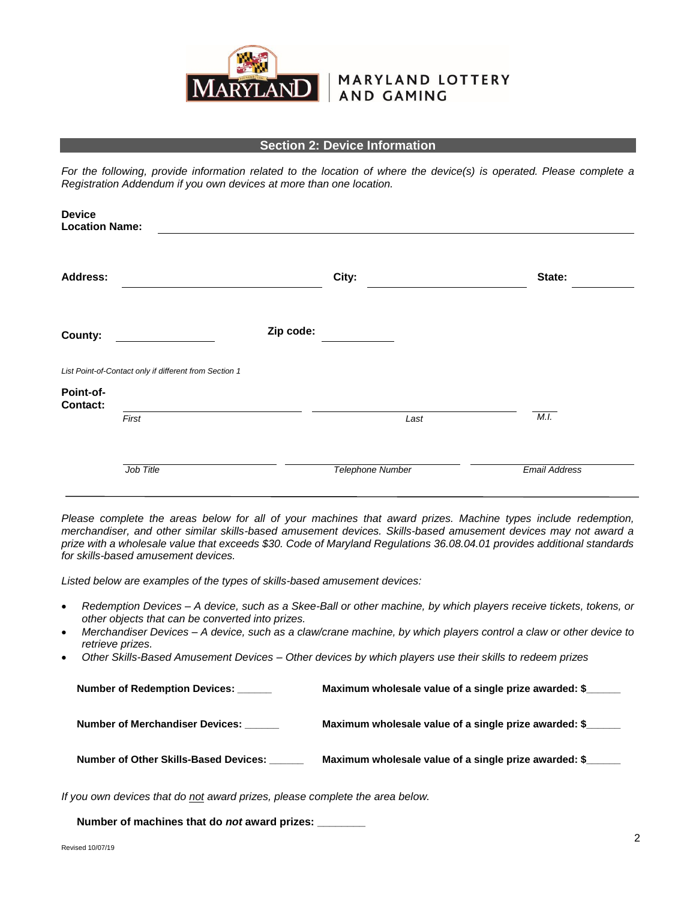

## MARYLAND LOTTERY **AND GAMING**

#### **Section 2: Device Information**

*For the following, provide information related to the location of where the device(s) is operated. Please complete a Registration Addendum if you own devices at more than one location.* 

| <b>Device</b><br><b>Location Name:</b> |                                                        |           |                         |                      |
|----------------------------------------|--------------------------------------------------------|-----------|-------------------------|----------------------|
| <b>Address:</b>                        |                                                        |           | City:                   | State:               |
| County:                                |                                                        | Zip code: |                         |                      |
|                                        | List Point-of-Contact only if different from Section 1 |           |                         |                      |
| Point-of-<br><b>Contact:</b>           |                                                        |           |                         |                      |
|                                        | First                                                  |           | Last                    | M.I.                 |
|                                        |                                                        |           |                         |                      |
|                                        | Job Title                                              |           | <b>Telephone Number</b> | <b>Email Address</b> |

*Please complete the areas below for all of your machines that award prizes. Machine types include redemption, merchandiser, and other similar skills-based amusement devices. Skills-based amusement devices may not award a prize with a wholesale value that exceeds \$30. Code of Maryland Regulations 36.08.04.01 provides additional standards for skills-based amusement devices.* 

*Listed below are examples of the types of skills-based amusement devices:*

- *Redemption Devices – A device, such as a Skee-Ball or other machine, by which players receive tickets, tokens, or other objects that can be converted into prizes.*
- *Merchandiser Devices – A device, such as a claw/crane machine, by which players control a claw or other device to retrieve prizes.*
- *Other Skills-Based Amusement Devices – Other devices by which players use their skills to redeem prizes*

| <b>Number of Redemption Devices:</b>  | Maximum wholesale value of a single prize awarded: \$ |
|---------------------------------------|-------------------------------------------------------|
| Number of Merchandiser Devices:       | Maximum wholesale value of a single prize awarded: \$ |
| Number of Other Skills-Based Devices: | Maximum wholesale value of a single prize awarded: \$ |

*If you own devices that do not award prizes, please complete the area below.*

 **Number of machines that do** *not* **award prizes: \_\_\_\_\_\_\_\_**